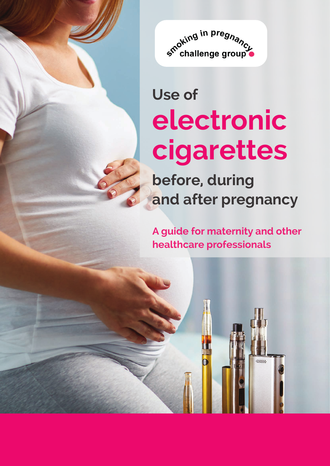

# **Use of electronic cigarettes**

**before, during and after pregnancy** 

**A guide for maternity and other healthcare professionals**

**oppy**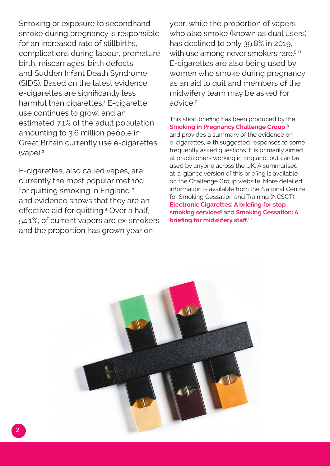<span id="page-1-0"></span>Smoking or exposure to secondhand smoke during pregnancy is responsible for an increased rate of stillbirths, complications during labour, premature birth, miscarriages, birth defects and Sudden Infant Death Syndrome (SIDS). Based on the latest evidence, e-cigarettes are significantly less harmful than cigarettes.<sup>[1](#page-7-0)</sup> E-cigarette use continues to grow, and an estimated 7.1% of the adult population amounting to 3.6 million people in Great Britain currently use e-cigarettes (vape).[2](#page-7-0)

E-cigarettes, also called vapes, are currently the most popular method for quitting smoking in England [3](#page-7-0) and evidence shows that they are an effective aid for quitting.[4](#page-7-0) Over a half, 54.1%, of current vapers are ex-smokers and the proportion has grown year on

year, while the proportion of vapers who also smoke (known as dual users) has declined to only 39.8% in 2019, with use among never smokers rare.<sup>5[6](#page-7-0)</sup> E-cigarettes are also being used by women who smoke during pregnancy as an aid to quit and members of the midwifery team may be asked for advice[.7](#page-7-0)

This short briefing has been produced by the **[Smoking in Pregnancy Challenge Group](http://smokefreeaction.org.uk/smokefree-nhs/smoking-in-pregnancy-challenge-group/)** [8](#page-7-0) and provides a summary of the evidence on e-cigarettes, with suggested responses to some frequently asked questions. It is primarily aimed at practitioners working in England, but can be used by anyone across the UK. A summarised at-a-glance version of this briefing is available on the Challenge Group website. More detailed information is available from the National Centre for Smoking Cessation and Training (NCSCT): **[Electronic Cigarettes: A briefing for stop](https://www.ncsct.co.uk/publication_electronic_cigarette_briefing.php)  [smoking services](https://www.ncsct.co.uk/publication_electronic_cigarette_briefing.php)**[9](#page-7-0) and **[Smoking Cessation: A](https://www.ncsct.co.uk/publication_briefing_for_midwifery_staff.php)  [briefing for midwifery staff](https://www.ncsct.co.uk/publication_briefing_for_midwifery_staff.php)**. [10](#page-7-0)

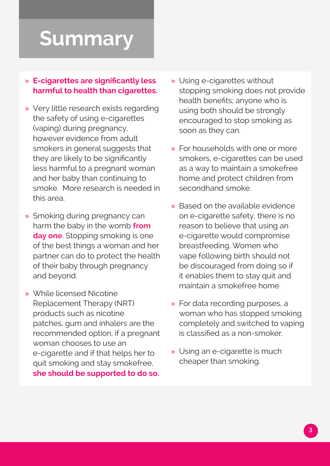## **Summary**

#### » **E-cigarettes are significantly less harmful to health than cigarettes.**

- » Very little research exists regarding the safety of using e-cigarettes (vaping) during pregnancy, however evidence from adult smokers in general suggests that they are likely to be significantly less harmful to a pregnant woman and her baby than continuing to smoke. More research is needed in this area.
- » Smoking during pregnancy can harm the baby in the womb **[from](https://cdn.shopify.com/s/files/1/0924/4392/files/passive-smoking-and-children.pdf?15599436013786148553)  [day one](https://cdn.shopify.com/s/files/1/0924/4392/files/passive-smoking-and-children.pdf?15599436013786148553)**. Stopping smoking is one of the best things a woman and her partner can do to protect the health of their baby through pregnancy and beyond.
- » While licensed Nicotine Replacement Therapy (NRT) products such as nicotine patches, gum and inhalers are the recommended option, if a pregnant woman chooses to use an e-cigarette and if that helps her to quit smoking and stay smokefree, **she should be supported to do so.**
- » Using e-cigarettes without stopping smoking does not provide health benefits; anyone who is using both should be strongly encouraged to stop smoking as soon as they can.
- » For households with one or more smokers, e-cigarettes can be used as a way to maintain a smokefree home and protect children from secondhand smoke.
- » Based on the available evidence on e-cigarette safety, there is no reason to believe that using an e-cigarette would compromise breastfeeding. Women who vape following birth should not be discouraged from doing so if it enables them to stay quit and maintain a smokefree home.
- » For data recording purposes, a woman who has stopped smoking completely and switched to vaping is classified as a non-smoker.
- » Using an e-cigarette is much cheaper than smoking.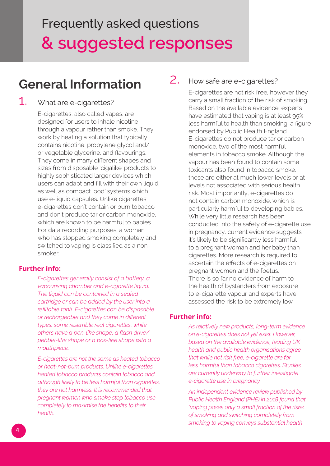## Frequently asked questions **& suggested responses**

### **General Information**

#### 1. What are e-cigarettes?

E-cigarettes, also called vapes, are designed for users to inhale nicotine through a vapour rather than smoke. They work by heating a solution that typically contains nicotine, propylene glycol and/ or vegetable glycerine, and flavourings. They come in many different shapes and sizes from disposable 'cigalike' products to highly sophisticated larger devices which users can adapt and fill with their own liquid, as well as compact 'pod' systems which use e-liquid capsules. Unlike cigarettes, e-cigarettes don't contain or burn tobacco and don't produce tar or carbon monoxide, which are known to be harmful to babies. For data recording purposes, a woman who has stopped smoking completely and switched to vaping is classified as a nonsmoker.

#### **Further info:**

*E-cigarettes generally consist of a battery, a vapourising chamber and e-cigarette liquid. The liquid can be contained in a sealed cartridge or can be added by the user into a refillable tank. E-cigarettes can be disposable or rechargeable and they come in different types: some resemble real cigarettes, while others have a pen-like shape, a flash drive/ pebble-like shape or a box-like shape with a mouthpiece.*

*E-cigarettes are not the same as heated tobacco or heat-not-burn products. Unlike e-cigarettes, heated tobacco products contain tobacco and although likely to be less harmful than cigarettes, they are not harmless. It is recommended that pregnant women who smoke stop tobacco use completely to maximise the benefits to their health.*

#### 2. How safe are e-cigarettes?

E-cigarettes are not risk free, however they carry a small fraction of the risk of smoking. Based on the available evidence, experts have estimated that vaping is at least 95% less harmful to health than smoking, a figure endorsed by Public Health England. E-cigarettes do not produce tar or carbon monoxide, two of the most harmful elements in tobacco smoke. Although the vapour has been found to contain some toxicants also found in tobacco smoke, these are either at much lower levels or at levels not associated with serious health risk. Most importantly, e-cigarettes do not contain carbon monoxide, which is particularly harmful to developing babies. While very little research has been conducted into the safety of e-cigarette use in pregnancy, current evidence suggests it's likely to be significantly less harmful to a pregnant woman and her baby than cigarettes. More research is required to ascertain the effects of e-cigarettes on pregnant women and the foetus. There is so far no evidence of harm to the health of bystanders from exposure to e-cigarette vapour and experts have assessed the risk to be extremely low.

#### **Further info:**

*As relatively new products, long-term evidence on e-cigarettes does not yet exist. However, based on the available evidence, leading UK health and public health organisations agree that while not risk free, e-cigarette are far less harmful than tobacco cigarettes. Studies are currently underway to further investigate e-cigarette use in pregnancy.*

*An independent evidence review published by Public Health England (PHE) in 2018 found that "vaping poses only a small fraction of the risks of smoking and switching completely from smoking to vaping conveys substantial health*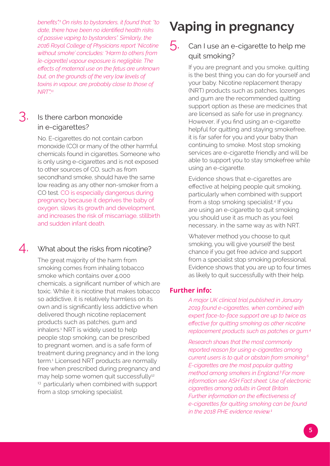<span id="page-4-0"></span>*benefits".1 On risks to bystanders, it found that: "to date, there have been no identified health risks of passive vaping to bystanders". Similarly, the 2016 Royal College of Physicians report 'Nicotine without smoke' concludes: "Harm to others from [e-cigarette] vapour exposure is negligible. The effects of maternal use on the fetus are unknown but, on the grounds of the very low levels of toxins in vapour, are probably close to those of NRT".[11](#page-7-0)*

#### 3. Is there carbon monoxide in e-cigarettes?

No. E-cigarettes do not contain carbon monoxide (CO) or many of the other harmful chemicals found in cigarettes. Someone who is only using e-cigarettes and is not exposed to other sources of CO, such as from secondhand smoke, should have the same low reading as any other non-smoker from a CO test. CO is especially dangerous during pregnancy because it deprives the baby of oxygen, slows its growth and development, and increases the risk of miscarriage, stillbirth and sudden infant death.

#### 4. What about the risks from nicotine?

The great majority of the harm from smoking comes from inhaling tobacco smoke which contains over 4,000 chemicals, a significant number of which are toxic. While it is nicotine that makes tobacco so addictive, it is relatively harmless on its own and is significantly less addictive when delivered though nicotine replacement products such as patches, gum and inhalers.<sup>1</sup> NRT is widely used to help people stop smoking, can be prescribed to pregnant women, and is a safe form of treatment during pregnancy and in the long term.1 Licensed NRT products are normally free when prescribed during pregnancy and may help some women quit successfully<sup>[12](#page-7-0)</sup> <sup>[13](#page-7-0)</sup> particularly when combined with support from a stop smoking specialist.

## **Vaping in pregnancy**

#### $\overline{5}$ . Can I use an e-cigarette to help me quit smoking?

If you are pregnant and you smoke, quitting is the best thing you can do for yourself and your baby. Nicotine replacement therapy (NRT) products such as patches, lozenges and gum are the recommended quitting support option as these are medicines that are licensed as safe for use in pregnancy. However, if you find using an e-cigarette helpful for quitting and staying smokefree, it is far safer for you and your baby than continuing to smoke. Most stop smoking services are e-cigarette friendly and will be able to support you to stay smokefree while using an e-cigarette.

Evidence shows that e-cigarettes are effective at helping people quit smoking, particularly when combined with support from a stop smoking specialist.<sup>4</sup> If you are using an e-cigarette to quit smoking you should use it as much as you feel necessary, in the same way as with NRT.

Whatever method you choose to quit smoking, you will give yourself the best chance if you get free advice and support from a specialist stop smoking professional. Evidence shows that you are up to four times as likely to quit successfully with their help.

#### **Further info:**

*A major UK clinical trial published in January 2019 found e-cigarettes, when combined with expert face-to-face support are up to twice as effective for quitting smoking as other nicotine replacement products such as patches or gum.<sup>4</sup>*

*Research shows that the most commonly reported reason for using e-cigarettes among current users is to quit or abstain from smoking.6 E-cigarettes are the most popular quitting method among smokers in England. <sup>3</sup>For more information see ASH Fact sheet: [Use of electronic](http://ash.org.uk/information-and-resources/fact-sheets/use-of-e-cigarettes-among-adults-in-great-britain-2018/) [cigarettes among adults in Great Britain.](http://ash.org.uk/information-and-resources/fact-sheets/use-of-e-cigarettes-among-adults-in-great-britain-2018/) Further information on the effectiveness of e-cigarettes for quitting smoking can be found in the 2018 PHE evidence review.1*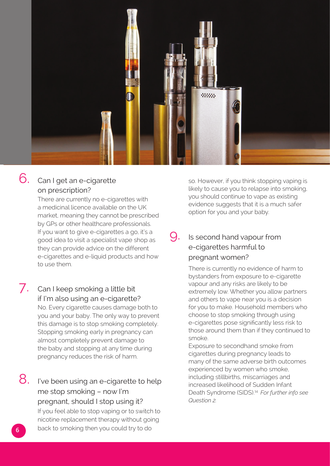

#### 6. Can I get an e-cigarette on prescription?

There are currently no e-cigarettes with a medicinal licence available on the UK market, meaning they cannot be prescribed by GPs or other healthcare professionals. If you want to give e-cigarettes a go, it's a good idea to visit a specialist vape shop as they can provide advice on the different e-cigarettes and e-liquid products and how to use them.

#### 7. Can I keep smoking a little bit if I'm also using an e-cigarette? No. Every cigarette causes damage both to

you and your baby. The only way to prevent this damage is to stop smoking completely. Stopping smoking early in pregnancy can almost completely prevent damage to the baby and stopping at any time during pregnancy reduces the risk of harm.

8. I've been using an e-cigarette to help me stop smoking – now I'm pregnant, should I stop using it? If you feel able to stop vaping or to switch to nicotine replacement therapy without going back to smoking then you could try to do

so. However, if you think stopping vaping is likely to cause you to relapse into smoking, you should continue to vape as existing evidence suggests that it is a much safer option for you and your baby.

#### 9. Is second hand vapour from e-cigarettes harmful to pregnant women?

There is currently no evidence of harm to bystanders from exposure to e-cigarette vapour and any risks are likely to be extremely low. Whether you allow partners and others to vape near you is a decision for you to make. Household members who choose to stop smoking through using e-cigarettes pose significantly less risk to those around them than if they continued to smoke.

Exposure to secondhand smoke from cigarettes during pregnancy leads to many of the same adverse birth outcomes experienced by women who smoke, including stillbirths, miscarriages and increased likelihood of Sudden Infant Death Syndrome (SIDS)[.14](#page-7-0) *For further info see Question 2.*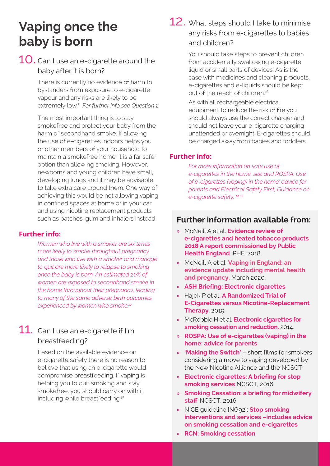### **Vaping once the baby is born**

#### $10$ . Can I use an e-cigarette around the baby after it is born?

There is currently no evidence of harm to bystanders from exposure to e-cigarette vapour and any risks are likely to be extremely low.1 *For further info see Question 2.*

The most important thing is to stay smokefree and protect your baby from the harm of secondhand smoke. If allowing the use of e-cigarettes indoors helps you or other members of your household to maintain a smokefree home, it is a far safer option than allowing smoking. However, newborns and young children have small, developing lungs and it may be advisable to take extra care around them. One way of achieving this would be not allowing vaping in confined spaces at home or in your car and using nicotine replacement products such as patches, gum and inhalers instead.

#### **Further info:**

*Women who live with a smoker are six times more likely to smoke throughout pregnancy and those who live with a smoker and manage to quit are more likely to relapse to smoking once the baby is born. An estimated 20% of women are exposed to secondhand smoke in the home throughout their pregnancy, leading to many of the same adverse birth outcomes experienced by women who smoke.<sup>12</sup>*

#### 11. Can I use an e-cigarette if I'm breastfeeding?

Based on the available evidence on e-cigarette safety there is no reason to believe that using an e-cigarette would compromise breastfeeding. If vaping is helping you to quit smoking and stay smokefree, you should carry on with it, including while breastfeeding.<sup>15</sup>

#### 12. What steps should I take to minimise any risks from e-cigarettes to babies and children?

You should take steps to prevent children from accidentally swallowing e-cigarette liquid or small parts of devices. As is the case with medicines and cleaning products, e-cigarettes and e-liquids should be kept out of the reach of children.<sup>16</sup>

As with all rechargeable electrical equipment, to reduce the risk of fire you should always use the correct charger and should not leave your e-cigarette charging unattended or overnight. E-cigarettes should be charged away from babies and toddlers.

#### **Further info:**

*For more information on safe use of e-cigarettes in the home, see and [ROSPA: Use](https://www.rospa.com/rospaweb/docs/advice-services/home-safety/vaping-in-the-home-advice-for-parents.pdf) [of e-cigarettes \(vaping\) in the home: advice for](https://www.rospa.com/rospaweb/docs/advice-services/home-safety/vaping-in-the-home-advice-for-parents.pdf) [parents](https://www.rospa.com/rospaweb/docs/advice-services/home-safety/vaping-in-the-home-advice-for-parents.pdf) and Electrical Safety First, Guidance on e-cigarette safety. <sup>14</sup> [17](#page-7-0)*

#### **Further information available from:**

- » McNeill A et al. **[Evidence review of](https://assets.publishing.service.gov.uk/government/uploads/system/uploads/attachment_data/file/684963/Evidence_review_of_e-cigarettes_and_heated_tobacco_products_2018.pdf) e-[cigarettes and heated tobacco products](https://assets.publishing.service.gov.uk/government/uploads/system/uploads/attachment_data/file/684963/Evidence_review_of_e-cigarettes_and_heated_tobacco_products_2018.pdf) [2018 A report commissioned by Public](https://assets.publishing.service.gov.uk/government/uploads/system/uploads/attachment_data/file/684963/Evidence_review_of_e-cigarettes_and_heated_tobacco_products_2018.pdf) [Health England](https://assets.publishing.service.gov.uk/government/uploads/system/uploads/attachment_data/file/684963/Evidence_review_of_e-cigarettes_and_heated_tobacco_products_2018.pdf)**. PHE. 2018.
- » McNeill A et al. **[Vaping in England: an](https://www.gov.uk/government/publications/vaping-in-england-evidence-update-march-2020)  [evidence update including mental health](https://www.gov.uk/government/publications/vaping-in-england-evidence-update-march-2020)  [and pregnancy.](https://www.gov.uk/government/publications/vaping-in-england-evidence-update-march-2020)** March 2020.
- » **[ASH Briefing: Electronic cigarettes](http://www.ash.org.uk/files/documents/ASH_715.pdf)**
- » Hajek P et al**. A Randomized Trial of E-Cigar[ettes versus Nicotine-Replacement](https://www.nejm.org/doi/full/10.1056/NEJMoa1808779) [Therapy](https://www.nejm.org/doi/full/10.1056/NEJMoa1808779)**. 2019.
- » McRobbie H et al. **[Electronic cigarettes for](http://onlinelibrary.wiley.com/doi/10.1002/14651858.CD010216.pub2/abstract) [smoking cessation and reduction.](http://onlinelibrary.wiley.com/doi/10.1002/14651858.CD010216.pub2/abstract)** 2014.
- » **[ROSPA: Use of e-cigarettes \(vaping\) in the](https://www.rospa.com/rospaweb/docs/advice-services/home-safety/vaping-in-the-home-advice-for-parents.pdf) home: advice for parents**
- » **['Making the Switch'](https://nnalliance.org/nnaresources/switch-videos)** short films for smokers considering a move to vaping developed by the New Nicotine Alliance and the NCSCT
- » **[Electronic cigarettes: A briefing for stop](https://www.ncsct.co.uk/publication_electronic_cigarette_briefing.php) [smoking services](https://www.ncsct.co.uk/publication_electronic_cigarette_briefing.php)** NCSCT, 2016
- » **[Smoking Cessation: a briefing for midwifery](https://www.ncsct.co.uk/publication_briefing_for_midwifery_staff.php) [staff](https://www.ncsct.co.uk/publication_briefing_for_midwifery_staff.php)** NCSCT, 2016
- » NICE guideline [NG92]: **Stop smoking [interventions and services –includes advice](https://www.nice.org.uk/guidance/ng92)  on smoking cessation and e-cigarettes**
- » **[RCN: Smoking cessation.](https://www.rcn.org.uk/clinical-topics/public-health/smoking-cessation)**